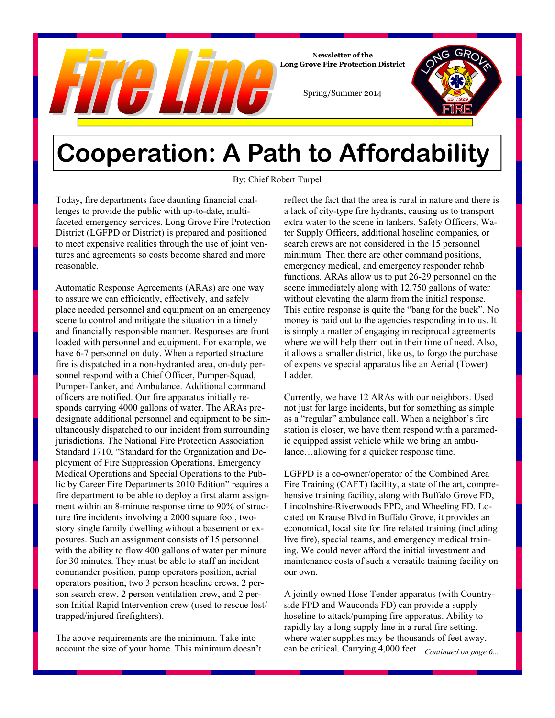

**Newsletter of the Long Grove Fire Protection District** 

Spring/Summer 2014

## **Cooperation: A Path to Affordability**

By: Chief Robert Turpel

Today, fire departments face daunting financial challenges to provide the public with up-to-date, multifaceted emergency services. Long Grove Fire Protection District (LGFPD or District) is prepared and positioned to meet expensive realities through the use of joint ventures and agreements so costs become shared and more reasonable.

Automatic Response Agreements (ARAs) are one way to assure we can efficiently, effectively, and safely place needed personnel and equipment on an emergency scene to control and mitigate the situation in a timely and financially responsible manner. Responses are front loaded with personnel and equipment. For example, we have 6-7 personnel on duty. When a reported structure fire is dispatched in a non-hydranted area, on-duty personnel respond with a Chief Officer, Pumper-Squad, Pumper-Tanker, and Ambulance. Additional command officers are notified. Our fire apparatus initially responds carrying 4000 gallons of water. The ARAs predesignate additional personnel and equipment to be simultaneously dispatched to our incident from surrounding jurisdictions. The National Fire Protection Association Standard 1710, "Standard for the Organization and Deployment of Fire Suppression Operations, Emergency Medical Operations and Special Operations to the Public by Career Fire Departments 2010 Edition" requires a fire department to be able to deploy a first alarm assignment within an 8-minute response time to 90% of structure fire incidents involving a 2000 square foot, twostory single family dwelling without a basement or exposures. Such an assignment consists of 15 personnel with the ability to flow 400 gallons of water per minute for 30 minutes. They must be able to staff an incident commander position, pump operators position, aerial operators position, two 3 person hoseline crews, 2 person search crew, 2 person ventilation crew, and 2 person Initial Rapid Intervention crew (used to rescue lost/ trapped/injured firefighters).

The above requirements are the minimum. Take into account the size of your home. This minimum doesn't reflect the fact that the area is rural in nature and there is a lack of city-type fire hydrants, causing us to transport extra water to the scene in tankers. Safety Officers, Water Supply Officers, additional hoseline companies, or search crews are not considered in the 15 personnel minimum. Then there are other command positions, emergency medical, and emergency responder rehab functions. ARAs allow us to put 26-29 personnel on the scene immediately along with 12,750 gallons of water without elevating the alarm from the initial response. This entire response is quite the "bang for the buck". No money is paid out to the agencies responding in to us. It is simply a matter of engaging in reciprocal agreements where we will help them out in their time of need. Also, it allows a smaller district, like us, to forgo the purchase of expensive special apparatus like an Aerial (Tower) Ladder.

Currently, we have 12 ARAs with our neighbors. Used not just for large incidents, but for something as simple as a "regular" ambulance call. When a neighbor's fire station is closer, we have them respond with a paramedic equipped assist vehicle while we bring an ambulance…allowing for a quicker response time.

LGFPD is a co-owner/operator of the Combined Area Fire Training (CAFT) facility, a state of the art, comprehensive training facility, along with Buffalo Grove FD, Lincolnshire-Riverwoods FPD, and Wheeling FD. Located on Krause Blvd in Buffalo Grove, it provides an economical, local site for fire related training (including live fire), special teams, and emergency medical training. We could never afford the initial investment and maintenance costs of such a versatile training facility on our own.

A jointly owned Hose Tender apparatus (with Countryside FPD and Wauconda FD) can provide a supply hoseline to attack/pumping fire apparatus. Ability to rapidly lay a long supply line in a rural fire setting, where water supplies may be thousands of feet away, can be critical. Carrying 4,000 feet *Continued on page 6...*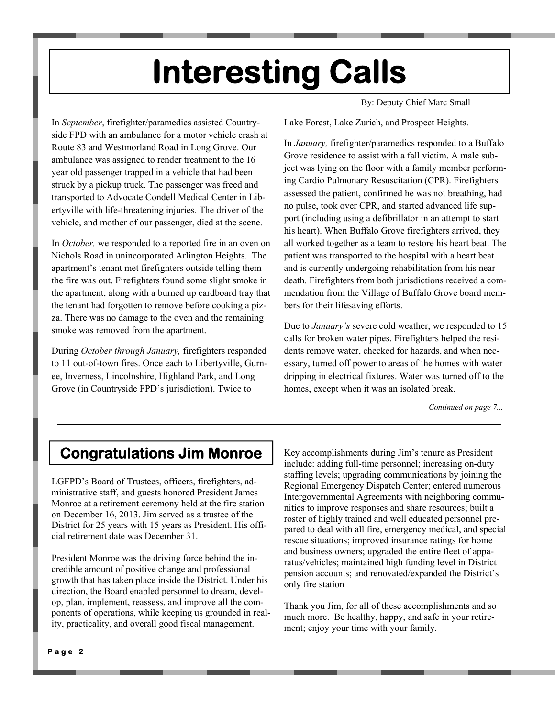# **Interesting Calls**

By: Deputy Chief Marc Small

In *September*, firefighter/paramedics assisted Countryside FPD with an ambulance for a motor vehicle crash at Route 83 and Westmorland Road in Long Grove. Our ambulance was assigned to render treatment to the 16 year old passenger trapped in a vehicle that had been struck by a pickup truck. The passenger was freed and transported to Advocate Condell Medical Center in Libertyville with life-threatening injuries. The driver of the vehicle, and mother of our passenger, died at the scene.

In *October,* we responded to a reported fire in an oven on Nichols Road in unincorporated Arlington Heights. The apartment's tenant met firefighters outside telling them the fire was out. Firefighters found some slight smoke in the apartment, along with a burned up cardboard tray that the tenant had forgotten to remove before cooking a pizza. There was no damage to the oven and the remaining smoke was removed from the apartment.

During *October through January,* firefighters responded to 11 out-of-town fires. Once each to Libertyville, Gurnee, Inverness, Lincolnshire, Highland Park, and Long Grove (in Countryside FPD's jurisdiction). Twice to

Lake Forest, Lake Zurich, and Prospect Heights.

In *January,* firefighter/paramedics responded to a Buffalo Grove residence to assist with a fall victim. A male subject was lying on the floor with a family member performing Cardio Pulmonary Resuscitation (CPR). Firefighters assessed the patient, confirmed he was not breathing, had no pulse, took over CPR, and started advanced life support (including using a defibrillator in an attempt to start his heart). When Buffalo Grove firefighters arrived, they all worked together as a team to restore his heart beat. The patient was transported to the hospital with a heart beat and is currently undergoing rehabilitation from his near death. Firefighters from both jurisdictions received a commendation from the Village of Buffalo Grove board members for their lifesaving efforts.

Due to *January's* severe cold weather, we responded to 15 calls for broken water pipes. Firefighters helped the residents remove water, checked for hazards, and when necessary, turned off power to areas of the homes with water dripping in electrical fixtures. Water was turned off to the homes, except when it was an isolated break.

*Continued on page 7...* 

### **Congratulations Jim Monroe**

LGFPD's Board of Trustees, officers, firefighters, administrative staff, and guests honored President James Monroe at a retirement ceremony held at the fire station on December 16, 2013. Jim served as a trustee of the District for 25 years with 15 years as President. His official retirement date was December 31.

President Monroe was the driving force behind the incredible amount of positive change and professional growth that has taken place inside the District. Under his direction, the Board enabled personnel to dream, develop, plan, implement, reassess, and improve all the components of operations, while keeping us grounded in reality, practicality, and overall good fiscal management.

Key accomplishments during Jim's tenure as President include: adding full-time personnel; increasing on-duty staffing levels; upgrading communications by joining the Regional Emergency Dispatch Center; entered numerous Intergovernmental Agreements with neighboring communities to improve responses and share resources; built a roster of highly trained and well educated personnel prepared to deal with all fire, emergency medical, and special rescue situations; improved insurance ratings for home and business owners; upgraded the entire fleet of apparatus/vehicles; maintained high funding level in District pension accounts; and renovated/expanded the District's only fire station

Thank you Jim, for all of these accomplishments and so much more. Be healthy, happy, and safe in your retirement; enjoy your time with your family.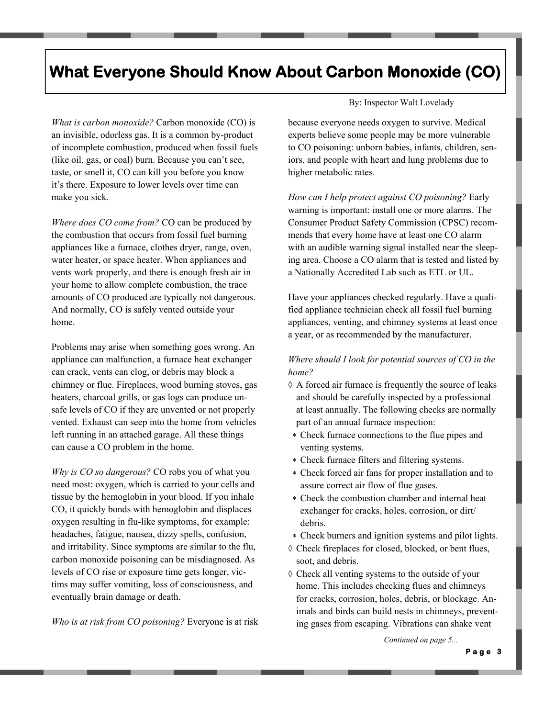## **What Everyone Should Know About Carbon Monoxide (CO)**

*What is carbon monoxide?* Carbon monoxide (CO) is an invisible, odorless gas. It is a common by-product of incomplete combustion, produced when fossil fuels (like oil, gas, or coal) burn. Because you can't see, taste, or smell it, CO can kill you before you know it's there. Exposure to lower levels over time can make you sick.

*Where does CO come from?* CO can be produced by the combustion that occurs from fossil fuel burning appliances like a furnace, clothes dryer, range, oven, water heater, or space heater. When appliances and vents work properly, and there is enough fresh air in your home to allow complete combustion, the trace amounts of CO produced are typically not dangerous. And normally, CO is safely vented outside your home.

Problems may arise when something goes wrong. An appliance can malfunction, a furnace heat exchanger can crack, vents can clog, or debris may block a chimney or flue. Fireplaces, wood burning stoves, gas heaters, charcoal grills, or gas logs can produce unsafe levels of CO if they are unvented or not properly vented. Exhaust can seep into the home from vehicles left running in an attached garage. All these things can cause a CO problem in the home.

*Why is CO so dangerous?* CO robs you of what you need most: oxygen, which is carried to your cells and tissue by the hemoglobin in your blood. If you inhale CO, it quickly bonds with hemoglobin and displaces oxygen resulting in flu-like symptoms, for example: headaches, fatigue, nausea, dizzy spells, confusion, and irritability. Since symptoms are similar to the flu, carbon monoxide poisoning can be misdiagnosed. As levels of CO rise or exposure time gets longer, victims may suffer vomiting, loss of consciousness, and eventually brain damage or death.

*Who is at risk from CO poisoning?* Everyone is at risk

#### By: Inspector Walt Lovelady

because everyone needs oxygen to survive. Medical experts believe some people may be more vulnerable to CO poisoning: unborn babies, infants, children, seniors, and people with heart and lung problems due to higher metabolic rates.

*How can I help protect against CO poisoning?* Early warning is important: install one or more alarms. The Consumer Product Safety Commission (CPSC) recommends that every home have at least one CO alarm with an audible warning signal installed near the sleeping area. Choose a CO alarm that is tested and listed by a Nationally Accredited Lab such as ETL or UL.

Have your appliances checked regularly. Have a qualified appliance technician check all fossil fuel burning appliances, venting, and chimney systems at least once a year, or as recommended by the manufacturer.

#### *Where should I look for potential sources of CO in the home?*

- $\Diamond$  A forced air furnace is frequently the source of leaks and should be carefully inspected by a professional at least annually. The following checks are normally part of an annual furnace inspection:
- Check furnace connections to the flue pipes and venting systems.
- Check furnace filters and filtering systems.
- Check forced air fans for proper installation and to assure correct air flow of flue gases.
- Check the combustion chamber and internal heat exchanger for cracks, holes, corrosion, or dirt/ debris.
- Check burners and ignition systems and pilot lights.
- Check fireplaces for closed, blocked, or bent flues, soot, and debris.
- $\Diamond$  Check all venting systems to the outside of your home. This includes checking flues and chimneys for cracks, corrosion, holes, debris, or blockage. Animals and birds can build nests in chimneys, preventing gases from escaping. Vibrations can shake vent

*Continued on page 5...*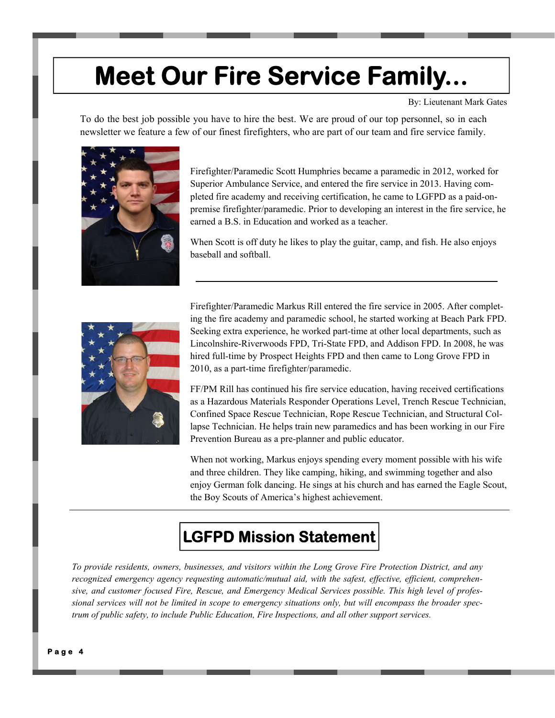## **Meet Our Fire Service Family...**

By: Lieutenant Mark Gates

To do the best job possible you have to hire the best. We are proud of our top personnel, so in each newsletter we feature a few of our finest firefighters, who are part of our team and fire service family.



Firefighter/Paramedic Scott Humphries became a paramedic in 2012, worked for Superior Ambulance Service, and entered the fire service in 2013. Having completed fire academy and receiving certification, he came to LGFPD as a paid-onpremise firefighter/paramedic. Prior to developing an interest in the fire service, he earned a B.S. in Education and worked as a teacher.

When Scott is off duty he likes to play the guitar, camp, and fish. He also enjoys baseball and softball.



Firefighter/Paramedic Markus Rill entered the fire service in 2005. After completing the fire academy and paramedic school, he started working at Beach Park FPD. Seeking extra experience, he worked part-time at other local departments, such as Lincolnshire-Riverwoods FPD, Tri-State FPD, and Addison FPD. In 2008, he was hired full-time by Prospect Heights FPD and then came to Long Grove FPD in 2010, as a part-time firefighter/paramedic.

FF/PM Rill has continued his fire service education, having received certifications as a Hazardous Materials Responder Operations Level, Trench Rescue Technician, Confined Space Rescue Technician, Rope Rescue Technician, and Structural Collapse Technician. He helps train new paramedics and has been working in our Fire Prevention Bureau as a pre-planner and public educator.

When not working, Markus enjoys spending every moment possible with his wife and three children. They like camping, hiking, and swimming together and also enjoy German folk dancing. He sings at his church and has earned the Eagle Scout, the Boy Scouts of America's highest achievement.

## **LGFPD Mission Statement**

*To provide residents, owners, businesses, and visitors within the Long Grove Fire Protection District, and any recognized emergency agency requesting automatic/mutual aid, with the safest, effective, efficient, comprehensive, and customer focused Fire, Rescue, and Emergency Medical Services possible. This high level of professional services will not be limited in scope to emergency situations only, but will encompass the broader spectrum of public safety, to include Public Education, Fire Inspections, and all other support services.*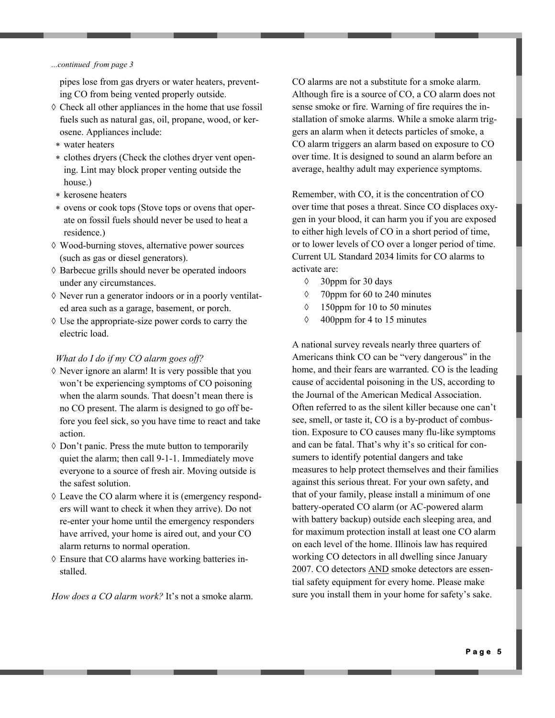#### *...continued from page 3*

pipes lose from gas dryers or water heaters, preventing CO from being vented properly outside.

- $\Diamond$  Check all other appliances in the home that use fossil fuels such as natural gas, oil, propane, wood, or kerosene. Appliances include:
- water heaters
- clothes dryers (Check the clothes dryer vent opening. Lint may block proper venting outside the house.)
- \* kerosene heaters
- ovens or cook tops (Stove tops or ovens that operate on fossil fuels should never be used to heat a residence.)
- Wood-burning stoves, alternative power sources (such as gas or diesel generators).
- $\Diamond$  Barbecue grills should never be operated indoors under any circumstances.
- $\Diamond$  Never run a generator indoors or in a poorly ventilated area such as a garage, basement, or porch.
- $\Diamond$  Use the appropriate-size power cords to carry the electric load.

#### *What do I do if my CO alarm goes off?*

- $\Diamond$  Never ignore an alarm! It is very possible that you won't be experiencing symptoms of CO poisoning when the alarm sounds. That doesn't mean there is no CO present. The alarm is designed to go off before you feel sick, so you have time to react and take action.
- $\Diamond$  Don't panic. Press the mute button to temporarily quiet the alarm; then call 9-1-1. Immediately move everyone to a source of fresh air. Moving outside is the safest solution.
- Leave the CO alarm where it is (emergency responders will want to check it when they arrive). Do not re-enter your home until the emergency responders have arrived, your home is aired out, and your CO alarm returns to normal operation.
- Ensure that CO alarms have working batteries installed.

*How does a CO alarm work?* It's not a smoke alarm.

CO alarms are not a substitute for a smoke alarm. Although fire is a source of CO, a CO alarm does not sense smoke or fire. Warning of fire requires the installation of smoke alarms. While a smoke alarm triggers an alarm when it detects particles of smoke, a CO alarm triggers an alarm based on exposure to CO over time. It is designed to sound an alarm before an average, healthy adult may experience symptoms.

Remember, with CO, it is the concentration of CO over time that poses a threat. Since CO displaces oxygen in your blood, it can harm you if you are exposed to either high levels of CO in a short period of time, or to lower levels of CO over a longer period of time. Current UL Standard 2034 limits for CO alarms to activate are:

- $\Diamond$  30 days
- 70ppm for 60 to 240 minutes
- 150ppm for 10 to 50 minutes
- $\Diamond$  400 ppm for 4 to 15 minutes

A national survey reveals nearly three quarters of Americans think CO can be "very dangerous" in the home, and their fears are warranted. CO is the leading cause of accidental poisoning in the US, according to the Journal of the American Medical Association. Often referred to as the silent killer because one can't see, smell, or taste it, CO is a by-product of combustion. Exposure to CO causes many flu-like symptoms and can be fatal. That's why it's so critical for consumers to identify potential dangers and take measures to help protect themselves and their families against this serious threat. For your own safety, and that of your family, please install a minimum of one battery-operated CO alarm (or AC-powered alarm with battery backup) outside each sleeping area, and for maximum protection install at least one CO alarm on each level of the home. Illinois law has required working CO detectors in all dwelling since January 2007. CO detectors AND smoke detectors are essential safety equipment for every home. Please make sure you install them in your home for safety's sake.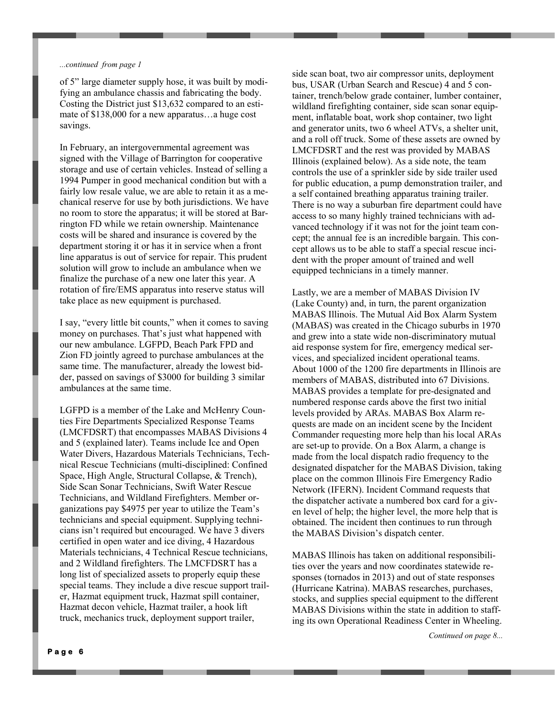#### *...continued from page 1*

of 5" large diameter supply hose, it was built by modifying an ambulance chassis and fabricating the body. Costing the District just \$13,632 compared to an estimate of \$138,000 for a new apparatus…a huge cost savings.

In February, an intergovernmental agreement was signed with the Village of Barrington for cooperative storage and use of certain vehicles. Instead of selling a 1994 Pumper in good mechanical condition but with a fairly low resale value, we are able to retain it as a mechanical reserve for use by both jurisdictions. We have no room to store the apparatus; it will be stored at Barrington FD while we retain ownership. Maintenance costs will be shared and insurance is covered by the department storing it or has it in service when a front line apparatus is out of service for repair. This prudent solution will grow to include an ambulance when we finalize the purchase of a new one later this year. A rotation of fire/EMS apparatus into reserve status will take place as new equipment is purchased.

I say, "every little bit counts," when it comes to saving money on purchases. That's just what happened with our new ambulance. LGFPD, Beach Park FPD and Zion FD jointly agreed to purchase ambulances at the same time. The manufacturer, already the lowest bidder, passed on savings of \$3000 for building 3 similar ambulances at the same time.

LGFPD is a member of the Lake and McHenry Counties Fire Departments Specialized Response Teams (LMCFDSRT) that encompasses MABAS Divisions 4 and 5 (explained later). Teams include Ice and Open Water Divers, Hazardous Materials Technicians, Technical Rescue Technicians (multi-disciplined: Confined Space, High Angle, Structural Collapse, & Trench), Side Scan Sonar Technicians, Swift Water Rescue Technicians, and Wildland Firefighters. Member organizations pay \$4975 per year to utilize the Team's technicians and special equipment. Supplying technicians isn't required but encouraged. We have 3 divers certified in open water and ice diving, 4 Hazardous Materials technicians, 4 Technical Rescue technicians, and 2 Wildland firefighters. The LMCFDSRT has a long list of specialized assets to properly equip these special teams. They include a dive rescue support trailer, Hazmat equipment truck, Hazmat spill container, Hazmat decon vehicle, Hazmat trailer, a hook lift truck, mechanics truck, deployment support trailer,

side scan boat, two air compressor units, deployment bus, USAR (Urban Search and Rescue) 4 and 5 container, trench/below grade container, lumber container, wildland firefighting container, side scan sonar equipment, inflatable boat, work shop container, two light and generator units, two 6 wheel ATVs, a shelter unit, and a roll off truck. Some of these assets are owned by LMCFDSRT and the rest was provided by MABAS Illinois (explained below). As a side note, the team controls the use of a sprinkler side by side trailer used for public education, a pump demonstration trailer, and a self contained breathing apparatus training trailer. There is no way a suburban fire department could have access to so many highly trained technicians with advanced technology if it was not for the joint team concept; the annual fee is an incredible bargain. This concept allows us to be able to staff a special rescue incident with the proper amount of trained and well equipped technicians in a timely manner.

Lastly, we are a member of MABAS Division IV (Lake County) and, in turn, the parent organization MABAS Illinois. The Mutual Aid Box Alarm System (MABAS) was created in the Chicago suburbs in 1970 and grew into a state wide non-discriminatory mutual aid response system for fire, emergency medical services, and specialized incident operational teams. About 1000 of the 1200 fire departments in Illinois are members of MABAS, distributed into 67 Divisions. MABAS provides a template for pre-designated and numbered response cards above the first two initial levels provided by ARAs. MABAS Box Alarm requests are made on an incident scene by the Incident Commander requesting more help than his local ARAs are set-up to provide. On a Box Alarm, a change is made from the local dispatch radio frequency to the designated dispatcher for the MABAS Division, taking place on the common Illinois Fire Emergency Radio Network (IFERN). Incident Command requests that the dispatcher activate a numbered box card for a given level of help; the higher level, the more help that is obtained. The incident then continues to run through the MABAS Division's dispatch center.

MABAS Illinois has taken on additional responsibilities over the years and now coordinates statewide responses (tornados in 2013) and out of state responses (Hurricane Katrina). MABAS researches, purchases, stocks, and supplies special equipment to the different MABAS Divisions within the state in addition to staffing its own Operational Readiness Center in Wheeling.

*Continued on page 8...*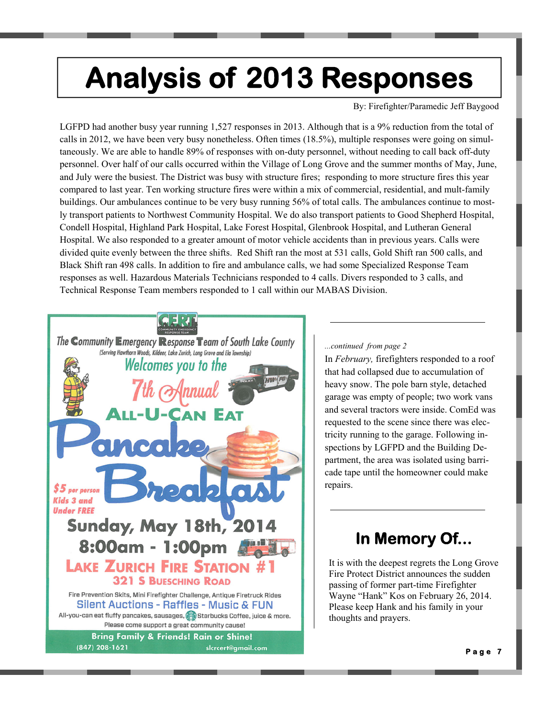# **Analysis of 2013 Responses**

By: Firefighter/Paramedic Jeff Baygood

LGFPD had another busy year running 1,527 responses in 2013. Although that is a 9% reduction from the total of calls in 2012, we have been very busy nonetheless. Often times (18.5%), multiple responses were going on simultaneously. We are able to handle 89% of responses with on-duty personnel, without needing to call back off-duty personnel. Over half of our calls occurred within the Village of Long Grove and the summer months of May, June, and July were the busiest. The District was busy with structure fires; responding to more structure fires this year compared to last year. Ten working structure fires were within a mix of commercial, residential, and mult-family buildings. Our ambulances continue to be very busy running 56% of total calls. The ambulances continue to mostly transport patients to Northwest Community Hospital. We do also transport patients to Good Shepherd Hospital, Condell Hospital, Highland Park Hospital, Lake Forest Hospital, Glenbrook Hospital, and Lutheran General Hospital. We also responded to a greater amount of motor vehicle accidents than in previous years. Calls were divided quite evenly between the three shifts. Red Shift ran the most at 531 calls, Gold Shift ran 500 calls, and Black Shift ran 498 calls. In addition to fire and ambulance calls, we had some Specialized Response Team responses as well. Hazardous Materials Technicians responded to 4 calls. Divers responded to 3 calls, and Technical Response Team members responded to 1 call within our MABAS Division.



#### *...continued from page 2*

In *February,* firefighters responded to a roof that had collapsed due to accumulation of heavy snow. The pole barn style, detached garage was empty of people; two work vans and several tractors were inside. ComEd was requested to the scene since there was electricity running to the garage. Following inspections by LGFPD and the Building Department, the area was isolated using barricade tape until the homeowner could make repairs.

## **In Memory Of...**

It is with the deepest regrets the Long Grove Fire Protect District announces the sudden passing of former part-time Firefighter Wayne "Hank" Kos on February 26, 2014. Please keep Hank and his family in your thoughts and prayers.